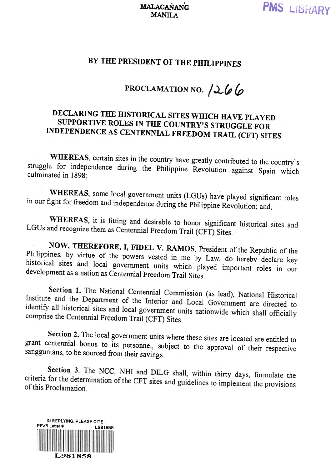## BY THE PRESIDENT OF THE PHILIPPINES

## PROCLAMATION NO.  $266$

## DECLARING THE HISTORICAL SITES WHICH HAVE PLAYED SUPPORTIVE ROLES IN THE COUNTRY'S STRUGGLE FOR INDEPENDENCE AS CENTENNIAL FREEDOM TRAIL (CFT) SITES

WHEREAS, certain sites in the country have greatly contributed to the country's struggle for independence during the Philippine Revolution against Spain which culminated in 1898;

WHEREAS, some local government units (LGUs) have played significant roles in our fight for freedom and independence during the Philippine Revolution; and,

WHEREAS, it is fitting and desirable to honor significant historical sites and LGUs and recognize them as Centennial Freedom Trail (CFT) Sites.

NOW, THEREFORE, I, FIDEL V. RAMOS, President of the Republic of the Philippines, by virtue of the powers vested in me by Law, do hereby declare key historical sites and local government units which played important roles in our development as a nation as Centennial Freedom Trail Sites.

Section 1. The National Centennial Commission (as lead), National Historical Institute and the Department of the Interior and Local Government are directed to<br>identify all historical sites and local counterior and Local Government are directed to identify all historical sites and local government units nationwide which shall officially<br>comprise the Centennial Freedom Trail (CET) Site comprise the Centennial Freedom Trail (CFT) Sites.

Section 2. The local government units where these sites are located are entitled to grant centennial bonus to its personnel, subject to the approval of their respective sanggunians, to be sourced from their savings.

Section 3. The NCC, NHI and DILG shall, within thirty days, formulate the for the determination of the CET sites and in its interval criteria for the determination of the CFT sites and guidelines to implement the provisions<br>of this Proclamation of this Proclamation.